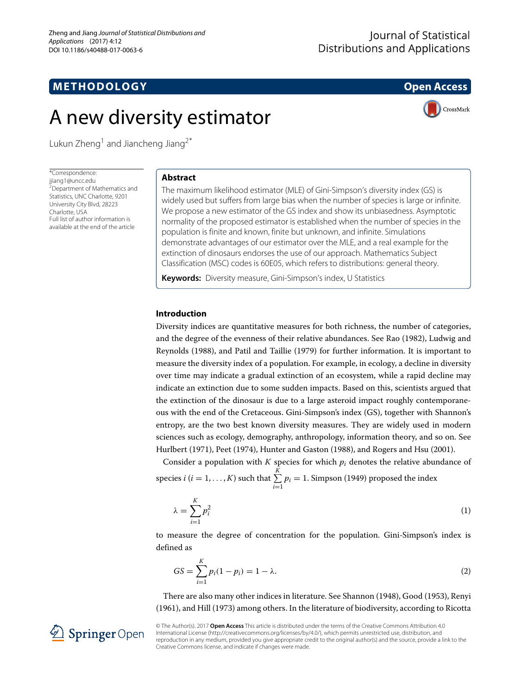## **METHODOLOGY Open Access**



# A new diversity estimator

Lukun Zheng<sup>1</sup> and Jiancheng Jiang<sup>2\*</sup>

\*Correspondence: [jjiang1@uncc.edu](mailto: jjiang1@uncc.edu)  $2D$ epartment of Mathematics and Statistics, UNC Charlotte, 9201 University City Blvd, 28223 Charlotte, USA Full list of author information is available at the end of the article

## **Abstract**

The maximum likelihood estimator (MLE) of Gini-Simpson's diversity index (GS) is widely used but suffers from large bias when the number of species is large or infinite. We propose a new estimator of the GS index and show its unbiasedness. Asymptotic normality of the proposed estimator is established when the number of species in the population is finite and known, finite but unknown, and infinite. Simulations demonstrate advantages of our estimator over the MLE, and a real example for the extinction of dinosaurs endorses the use of our approach. Mathematics Subject Classification (MSC) codes is 60E05, which refers to distributions: general theory.

**Keywords:** Diversity measure, Gini-Simpson's index, U Statistics

### **Introduction**

Diversity indices are quantitative measures for both richness, the number of categories, and the degree of the evenness of their relative abundances. See Rao [\(1982\)](#page-12-0), Ludwig and Reynolds [\(1988\)](#page-12-1), and Patil and Taillie [\(1979\)](#page-12-2) for further information. It is important to measure the diversity index of a population. For example, in ecology, a decline in diversity over time may indicate a gradual extinction of an ecosystem, while a rapid decline may indicate an extinction due to some sudden impacts. Based on this, scientists argued that the extinction of the dinosaur is due to a large asteroid impact roughly contemporaneous with the end of the Cretaceous. Gini-Simpson's index (GS), together with Shannon's entropy, are the two best known diversity measures. They are widely used in modern sciences such as ecology, demography, anthropology, information theory, and so on. See Hurlbert [\(1971\)](#page-12-3), Peet [\(1974\)](#page-12-4), Hunter and Gaston [\(1988\)](#page-12-5), and Rogers and Hsu [\(2001\)](#page-12-6).

Consider a population with  $K$  species for which  $p_i$  denotes the relative abundance of species *i* (*i* = 1, ..., *K*) such that  $\sum_{i=1}^{K}$  $\sum_{i=1} p_i = 1$ . Simpson [\(1949\)](#page-12-7) proposed the index

$$
\lambda = \sum_{i=1}^{K} p_i^2 \tag{1}
$$

to measure the degree of concentration for the population. Gini-Simpson's index is defined as

<span id="page-0-0"></span>
$$
GS = \sum_{i=1}^{K} p_i (1 - p_i) = 1 - \lambda.
$$
 (2)

There are also many other indices in literature. See Shannon [\(1948\)](#page-12-8), Good [\(1953\)](#page-12-9), Renyi [\(1961\)](#page-12-10), and Hill [\(1973\)](#page-12-11) among others. In the literature of biodiversity, according to Ricotta



© The Author(s). 2017 **Open Access** This article is distributed under the terms of the Creative Commons Attribution 4.0 International License [\(http://creativecommons.org/licenses/by/4.0/\)](http://creativecommons.org/licenses/by/4.0/), which permits unrestricted use, distribution, and reproduction in any medium, provided you give appropriate credit to the original author(s) and the source, provide a link to the Creative Commons license, and indicate if changes were made.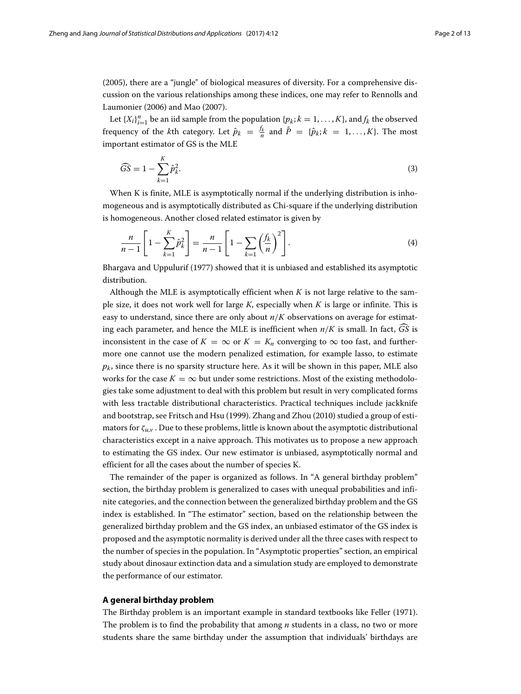[\(2005\)](#page-12-12), there are a "jungle" of biological measures of diversity. For a comprehensive discussion on the various relationships among these indices, one may refer to Rennolls and Laumonier [\(2006\)](#page-12-13) and Mao [\(2007\)](#page-12-14).

Let  $\{X_i\}_{i=1}^n$  be an iid sample from the population  $\{p_k; k = 1, ..., K\}$ , and  $f_k$  the observed frequency of the *k*th category. Let  $\hat{p}_k = \frac{f_k}{n}$  and  $\hat{P} = \{\hat{p}_k; k = 1, ..., K\}$ . The most important estimator of GS is the MLE

$$
\widehat{GS} = 1 - \sum_{k=1}^{K} \widehat{p}_{k}^{2}.
$$
\n(3)

When K is finite, MLE is asymptotically normal if the underlying distribution is inhomogeneous and is asymptotically distributed as Chi-square if the underlying distribution is homogeneous. Another closed related estimator is given by

$$
\frac{n}{n-1}\left[1-\sum_{k=1}^{K}\hat{p}_{k}^{2}\right]=\frac{n}{n-1}\left[1-\sum_{k=1}\left(\frac{f_{k}}{n}\right)^{2}\right].
$$
\n(4)

Bhargava and Uppulurif [\(1977\)](#page-12-15) showed that it is unbiased and established its asymptotic distribution.

Although the MLE is asymptotically efficient when  $K$  is not large relative to the sample size, it does not work well for large *K*, especially when *K* is large or infinite. This is easy to understand, since there are only about *n*/*K* observations on average for estimating each parameter, and hence the MLE is inefficient when  $n/K$  is small. In fact,  $\widehat{GS}$  is inconsistent in the case of  $K = \infty$  or  $K = K_n$  converging to  $\infty$  too fast, and furthermore one cannot use the modern penalized estimation, for example lasso, to estimate  $p_k$ , since there is no sparsity structure here. As it will be shown in this paper, MLE also works for the case  $K = \infty$  but under some restrictions. Most of the existing methodologies take some adjustment to deal with this problem but result in very complicated forms with less tractable distributional characteristics. Practical techniques include jackknife and bootstrap, see Fritsch and Hsu [\(1999\)](#page-12-16). Zhang and Zhou [\(2010\)](#page-12-17) studied a group of estimators for  $\zeta_{\mu,\nu}$ . Due to these problems, little is known about the asymptotic distributional characteristics except in a naive approach. This motivates us to propose a new approach to estimating the GS index. Our new estimator is unbiased, asymptotically normal and efficient for all the cases about the number of species K.

The remainder of the paper is organized as follows. In ["A general birthday problem"](#page-1-0) section, the birthday problem is generalized to cases with unequal probabilities and infinite categories, and the connection between the generalized birthday problem and the GS index is established. In ["The estimator"](#page-3-0) section, based on the relationship between the generalized birthday problem and the GS index, an unbiased estimator of the GS index is proposed and the asymptotic normality is derived under all the three cases with respect to the number of species in the population. In ["Asymptotic properties"](#page-3-1) section, an empirical study about dinosaur extinction data and a simulation study are employed to demonstrate the performance of our estimator.

#### <span id="page-1-0"></span>**A general birthday problem**

The Birthday problem is an important example in standard textbooks like Feller [\(1971\)](#page-12-18). The problem is to find the probability that among *n* students in a class, no two or more students share the same birthday under the assumption that individuals' birthdays are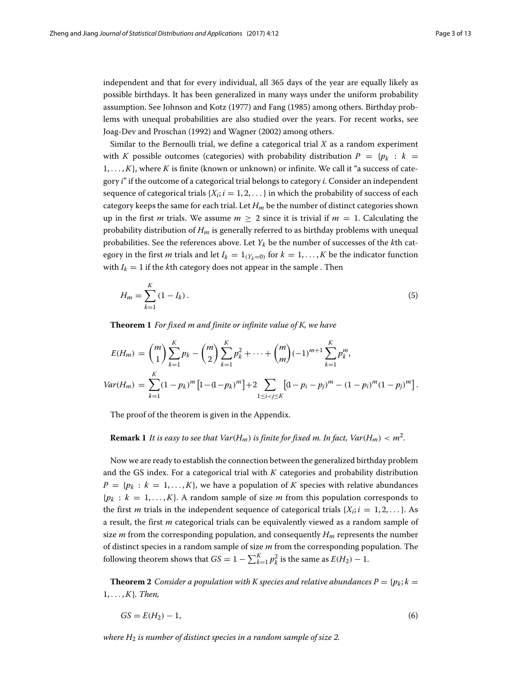independent and that for every individual, all 365 days of the year are equally likely as possible birthdays. It has been generalized in many ways under the uniform probability assumption. See Johnson and Kotz [\(1977\)](#page-12-19) and Fang [\(1985\)](#page-12-20) among others. Birthday problems with unequal probabilities are also studied over the years. For recent works, see Joag-Dev and Proschan [\(1992\)](#page-12-21) and Wagner [\(2002\)](#page-12-22) among others.

Similar to the Bernoulli trial, we define a categorical trial *X* as a random experiment with *K* possible outcomes (categories) with probability distribution  $P = \{p_k : k =$ 1, ... , *K*}, where *K* is finite (known or unknown) or infinite. We call it "a success of category *i*" if the outcome of a categorical trial belongs to category *i*. Consider an independent sequence of categorical trials  ${X_i; i = 1, 2, \ldots}$  in which the probability of success of each category keeps the same for each trial. Let  $H_m$  be the number of distinct categories shown up in the first *m* trials. We assume  $m \geq 2$  since it is trivial if  $m = 1$ . Calculating the probability distribution of *Hm* is generally referred to as birthday problems with unequal probabilities. See the references above. Let  $Y_k$  be the number of successes of the  $k$ th category in the first *m* trials and let  $I_k = 1_{(Y_k=0)}$  for  $k = 1, ..., K$  be the indicator function with  $I_k = 1$  if the *k*th category does not appear in the sample. Then

$$
H_m = \sum_{k=1}^{K} (1 - I_k). \tag{5}
$$

<span id="page-2-0"></span>**Theorem 1** *For fixed m and finite or infinite value of K, we have*

$$
E(H_m) = {m \choose 1} \sum_{k=1}^K p_k - {m \choose 2} \sum_{k=1}^K p_k^2 + \dots + {m \choose m} (-1)^{m+1} \sum_{k=1}^K p_k^m,
$$
  

$$
Var(H_m) = \sum_{k=1}^K (1 - p_k)^m \left[1 - (1 - p_k)^m\right] + 2 \sum_{1 \le i < j \le K} \left[(1 - p_i - p_j)^m - (1 - p_i)^m (1 - p_j)^m\right].
$$

The proof of the theorem is given in the [Appendix.](#page-7-0)

#### <span id="page-2-2"></span>**Remark 1** *It is easy to see that*  $Var(H_m)$  *is finite for fixed m. In fact,*  $Var(H_m) < m^2$ *.*

Now we are ready to establish the connection between the generalized birthday problem and the GS index. For a categorical trial with *K* categories and probability distribution  $P = \{p_k : k = 1, \ldots, K\}$ , we have a population of *K* species with relative abundances  ${p_k : k = 1, ..., K}$ . A random sample of size *m* from this population corresponds to the first *m* trials in the independent sequence of categorical trials  $\{X_i; i = 1, 2, \ldots\}$ . As a result, the first *m* categorical trials can be equivalently viewed as a random sample of size  $m$  from the corresponding population, and consequently  $H_m$  represents the number of distinct species in a random sample of size *m* from the corresponding population. The following theorem shows that  $GS = 1 - \sum_{k=1}^{K} p_k^2$  is the same as  $E(H_2) - 1$ .

<span id="page-2-1"></span>**Theorem 2** *Consider a population with K species and relative abundances*  $P = \{p_k; k = 1\}$ 1, ... , *K*}*. Then,*

$$
GS = E(H_2) - 1,\tag{6}
$$

*where H*<sup>2</sup> *is number of distinct species in a random sample of size 2.*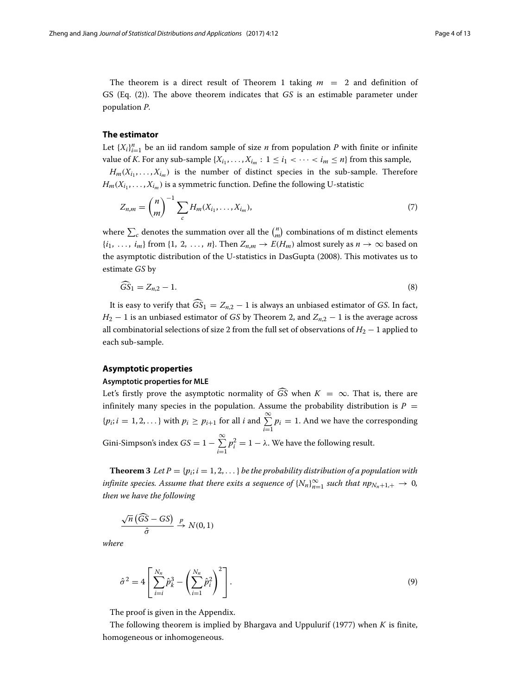The theorem is a direct result of Theorem [1](#page-2-0) taking  $m = 2$  and definition of GS (Eq. [\(2\)](#page-0-0)). The above theorem indicates that *GS* is an estimable parameter under population *P*.

#### <span id="page-3-0"></span>**The estimator**

Let  $\{X_i\}_{i=1}^n$  be an iid random sample of size *n* from population *P* with finite or infinite value of *K*. For any sub-sample  $\{X_{i_1}, \ldots, X_{i_m} : 1 \leq i_1 < \cdots < i_m \leq n\}$  from this sample,  $H_m(X_{i_1},\ldots,X_{i_m})$  is the number of distinct species in the sub-sample. Therefore

 $H_m(X_{i_1},\ldots,X_{i_m})$  is a symmetric function. Define the following U-statistic

<span id="page-3-2"></span>
$$
Z_{n,m} = {n \choose m}^{-1} \sum_{c} H_m(X_{i_1}, \dots, X_{i_m}),
$$
 (7)

where  $\sum_{c}$  denotes the summation over all the  $\binom{n}{m}$  combinations of m distinct elements  $\{i_1, \ldots, i_m\}$  from  $\{1, 2, \ldots, n\}$ . Then  $Z_{n,m} \to E(H_m)$  almost surely as  $n \to \infty$  based on the asymptotic distribution of the U-statistics in DasGupta [\(2008\)](#page-12-23). This motivates us to estimate *GS* by

$$
\widehat{GS}_1 = Z_{n,2} - 1. \tag{8}
$$

It is easy to verify that  $\widehat{GS}_1 = Z_{n,2} - 1$  is always an unbiased estimator of *GS*. In fact,  $H_2 - 1$  is an unbiased estimator of *GS* by Theorem [2,](#page-2-1) and  $Z_{n,2} - 1$  is the average across all combinatorial selections of size 2 from the full set of observations of  $H_2 - 1$  applied to each sub-sample.

#### <span id="page-3-1"></span>**Asymptotic properties**

#### **Asymptotic properties for MLE**

Let's firstly prove the asymptotic normality of  $\widehat{GS}$  when  $K = \infty$ . That is, there are infinitely many species in the population. Assume the probability distribution is  $P =$  ${p_i; i = 1, 2, \ldots}$  with  $p_i \geq p_{i+1}$  for all *i* and  $\sum_{i=1}^{\infty}$  $\sum_{i=1} p_i = 1$ . And we have the corresponding Gini-Simpson's index  $GS = 1 - \sum_{n=1}^{\infty}$ *i*=1  $p_i^2 = 1 - \lambda$ . We have the following result.

<span id="page-3-4"></span>**Theorem 3** *Let*  $P = \{p_i; i = 1, 2, ...\}$  *be the probability distribution of a population with infinite species. Assume that there exits a sequence of*  $\{N_n\}_{n=1}^{\infty}$  *such that*  $np_{N_n+1,+} \to 0$ *, then we have the following*

$$
\frac{\sqrt{n}(\widehat{GS} - GS)}{\widehat{\sigma}} \stackrel{p}{\to} N(0, 1)
$$

<span id="page-3-3"></span>*where*

$$
\hat{\sigma}^2 = 4 \left[ \sum_{i=i}^{N_n} \hat{p}_k^3 - \left( \sum_{i=1}^{N_n} \hat{p}_i^2 \right)^2 \right].
$$
 (9)

The proof is given in the [Appendix.](#page-7-0)

The following theorem is implied by Bhargava and Uppulurif [\(1977\)](#page-12-15) when *K* is finite, homogeneous or inhomogeneous.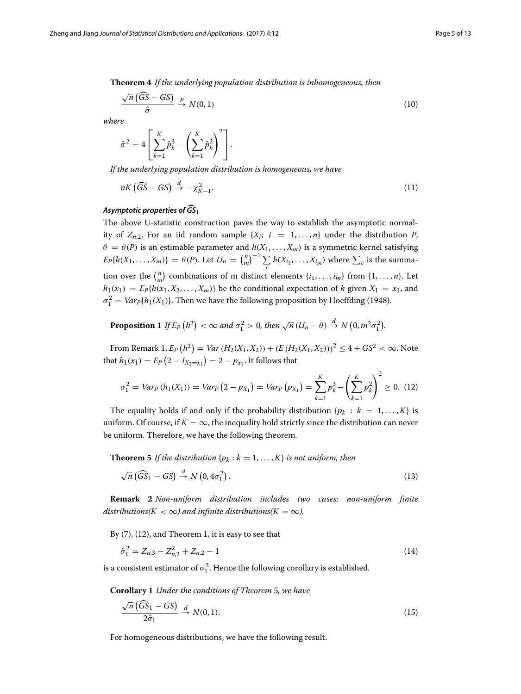**Theorem 4** *If the underlying population distribution is inhomogeneous, then*

$$
\frac{\sqrt{n}\left(\widehat{GS} - GS\right)}{\widehat{\sigma}} \xrightarrow{p} N(0, 1) \tag{10}
$$

*where*

$$
\hat{\sigma}^2 = 4 \left[ \sum_{k=1}^K \hat{p}_k^3 - \left( \sum_{k=1}^K \hat{p}_k^2 \right)^2 \right].
$$

*If the underlying population distribution is homogeneous, we have*

$$
nK\left(\widehat{GS} - GS\right) \stackrel{d}{\to} -\chi^2_{K-1}.
$$
\nAsymptotic properties of  $\widehat{GS}_1$ 

The above U-statistic construction paves the way to establish the asymptotic normality of  $Z_{n,2}$ . For an iid random sample  $\{X_i; i = 1, ..., n\}$  under the distribution *P*,  $\theta = \theta(P)$  is an estimable parameter and  $h(X_1, \ldots, X_m)$  is a symmetric kernel satisfying  $E_P\{h(X_1, \ldots, X_m)\} = \theta(P)$ . Let  $U_n = {n \choose m}^{-1} \sum_{i=1}^m$  $\sum_{c} h(X_{i_1}, \ldots, X_{i_m})$  where  $\sum_{c}$  is the summation over the  $\binom{n}{m}$  combinations of m distinct elements  $\{i_1, \ldots, i_m\}$  from  $\{1, \ldots, n\}$ . Let  $h_1(x_1) = E_P\{h(x_1, X_2, \ldots, X_m)\}\$ be the conditional expectation of *h* given  $X_1 = x_1$ , and  $\sigma_1^2 = Var_P\{h_1(X_1)\}.$  Then we have the following proposition by Hoeffding [\(1948\)](#page-12-24).

**Proposition 1** If  $E_P(h^2) < \infty$  and  $\sigma_1^2 > 0$ , then  $\sqrt{n} (U_n - \theta) \stackrel{d}{\rightarrow} N(0, m^2 \sigma_1^2)$ .

From Remark [1,](#page-2-2)  $E_P(h^2) = Var(H_2(X_1, X_2)) + (E(H_2(X_1, X_2)))^2 \le 4 + GS^2 < \infty$ . Note that  $h_1(x_1) = E_P(2 - I_{X_2=x_1}) = 2 - p_{x_1}$ . It follows that

<span id="page-4-0"></span>
$$
\sigma_1^2 = Var_P(h_1(X_1)) = Var_P(2 - px_1) = Var_P(p_{X_1}) = \sum_{k=1}^{K} p_k^3 - \left(\sum_{k=1}^{K} p_k^2\right)^2 \ge 0. \tag{12}
$$

The equality holds if and only if the probability distribution  $\{p_k : k = 1, \ldots, K\}$  is uniform. Of course, if  $K = \infty$ , the inequality hold strictly since the distribution can never be uniform. Therefore, we have the following theorem.

<span id="page-4-1"></span>**Theorem 5** *If the distribution* { $p_k$  :  $k = 1, ..., K$ } *is not uniform, then* 

$$
\sqrt{n} \left( \widehat{GS}_1 - GS \right) \stackrel{d}{\rightarrow} N \left( 0, 4\sigma_1^2 \right). \tag{13}
$$

**Remark 2** *Non-uniform distribution includes two cases: non-uniform finite distributions(K* <  $\infty$ *) and infinite distributions(K* =  $\infty$ *).* 

By [\(7\)](#page-3-2), [\(12\)](#page-4-0), and Theorem [1,](#page-2-0) it is easy to see that

<span id="page-4-2"></span>
$$
\hat{\sigma}_1^2 = Z_{n,3} - Z_{n,2}^2 + Z_{n,2} - 1 \tag{14}
$$

is a consistent estimator of  $\sigma_1^2$ . Hence the following corollary is established.

**Corollary 1** *Under the conditions of Theorem* [5](#page-4-1)*, we have*

$$
\frac{\sqrt{n}(\widehat{GS}_1 - GS)}{2\widehat{\sigma}_1} \stackrel{d}{\to} N(0, 1). \tag{15}
$$

For homogeneous distributions, we have the following result.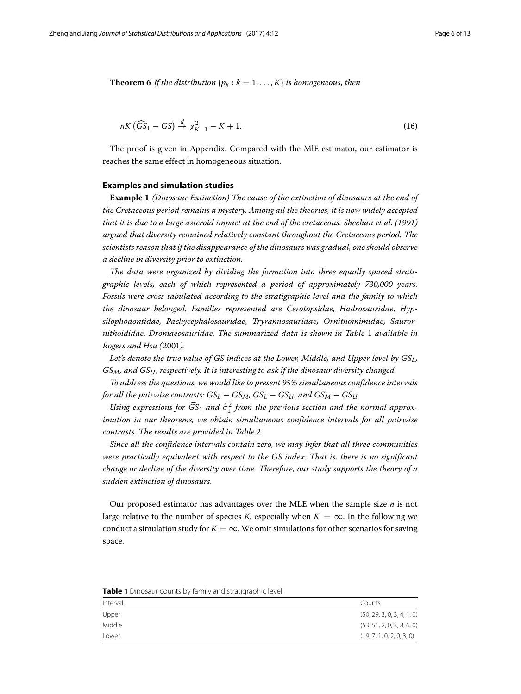<span id="page-5-1"></span>**Theorem 6** *If the distribution* { $p_k$  :  $k = 1, ..., K$ } *is homogeneous, then* 

$$
nK\left(\widehat{GS}_1 - GS\right) \stackrel{d}{\to} \chi^2_{K-1} - K + 1. \tag{16}
$$

The proof is given in [Appendix.](#page-7-0) Compared with the MlE estimator, our estimator is reaches the same effect in homogeneous situation.

#### **Examples and simulation studies**

**Example 1** *(Dinosaur Extinction) The cause of the extinction of dinosaurs at the end of the Cretaceous period remains a mystery. Among all the theories, it is now widely accepted that it is due to a large asteroid impact at the end of the cretaceous. Sheehan et al. (1991) argued that diversity remained relatively constant throughout the Cretaceous period. The scientists reason that if the disappearance of the dinosaurs was gradual, one should observe a decline in diversity prior to extinction.*

*The data were organized by dividing the formation into three equally spaced stratigraphic levels, each of which represented a period of approximately 730,000 years. Fossils were cross-tabulated according to the stratigraphic level and the family to which the dinosaur belonged. Families represented are Cerotopsidae, Hadrosauridae, Hypsilophodontidae, Pachycephalosauridae, Tryrannosauridae, Ornithomimidae, Saurornithoididae, Dromaeosauridae. The summarized data is shown in Table* [1](#page-5-0) *available in Rogers and Hsu (*[2001](#page-12-6)*).*

*Let's denote the true value of GS indices at the Lower, Middle, and Upper level by GSL, GSM, and GSU, respectively. It is interesting to ask if the dinosaur diversity changed.*

*To address the questions, we would like to present 95% simultaneous confidence intervals for all the pairwise contrasts:*  $GS_L - GS_M$ ,  $GS_L - GS_U$ , and  $GS_M - GS_U$ .

Using expressions for  $\widehat{GS}_1$  and  $\hat{\sigma}_1^2$  from the previous section and the normal approx*imation in our theorems, we obtain simultaneous confidence intervals for all pairwise contrasts. The results are provided in Table* [2](#page-6-0)

*Since all the confidence intervals contain zero, we may infer that all three communities were practically equivalent with respect to the GS index. That is, there is no significant change or decline of the diversity over time. Therefore, our study supports the theory of a sudden extinction of dinosaurs.*

Our proposed estimator has advantages over the MLE when the sample size *n* is not large relative to the number of species *K*, especially when  $K = \infty$ . In the following we conduct a simulation study for  $K = \infty$ . We omit simulations for other scenarios for saying space.

<span id="page-5-0"></span>

| Interval | Counts                     |
|----------|----------------------------|
| Upper    | (50, 29, 3, 0, 3, 4, 1, 0) |
| Middle   | (53, 51, 2, 0, 3, 8, 6, 0) |
| Lower    | (19, 7, 1, 0, 2, 0, 3, 0)  |

**Table 1** Dinosaur counts by family and stratigraphic level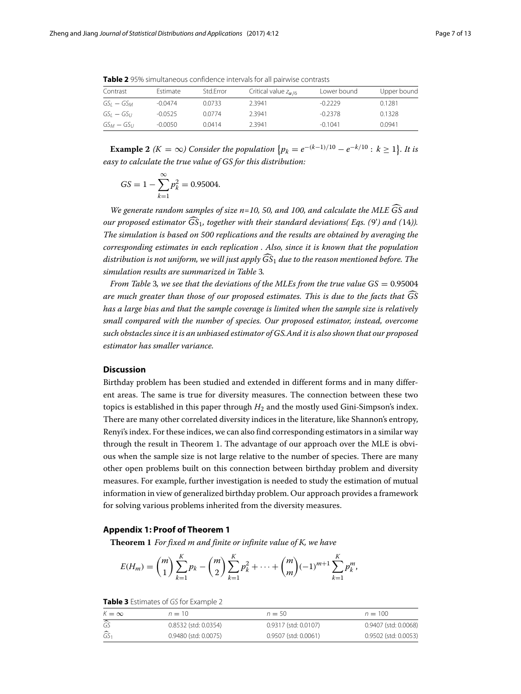| Contrast         | Estimate  | Std.Error | Critical value $z_{\alpha/6}$ | Lower bound | Upper bound |
|------------------|-----------|-----------|-------------------------------|-------------|-------------|
| GSı — GSм        | $-0.0474$ | 0.0733    | 2.3941                        | $-0.2229$   | 0.1281      |
| $GS_I - GS_{II}$ | $-0.0525$ | 0.0774    | 2.3941                        | $-0.2378$   | 0.1328      |
| $GS_M - GS_U$    | $-0.0050$ | 0.0414    | 2.3941                        | $-0.1041$   | 0.0941      |

<span id="page-6-0"></span>**Table 2** 95% simultaneous confidence intervals for all pairwise contrasts

**Example 2** ( $K = \infty$ ) Consider the population  $\{p_k = e^{-(k-1)/10} - e^{-k/10} : k \ge 1\}$ . It is *easy to calculate the true value of GS for this distribution:*

$$
GS = 1 - \sum_{k=1}^{\infty} p_k^2 = 0.95004.
$$

*We generate random samples of size n=10, 50, and 100, and calculate the MLE GS and our proposed estimator GS*1*, together with their standard deviations( Eqs. (*[9'](#page-3-3)*) and (*[14](#page-4-2)*)). The simulation is based on 500 replications and the results are obtained by averaging the corresponding estimates in each replication . Also, since it is known that the population distribution is not uniform, we will just apply GS*<sup>1</sup> *due to the reason mentioned before. The simulation results are summarized in Table* [3](#page-6-1)*.*

*From Table* [3](#page-6-1)*, we see that the deviations of the MLEs from the true value*  $GS = 0.95004$ *are much greater than those of our proposed estimates. This is due to the facts that GS has a large bias and that the sample coverage is limited when the sample size is relatively small compared with the number of species. Our proposed estimator, instead, overcome such obstacles since it is an unbiased estimator of GS.And it is also shown that our proposed estimator has smaller variance.*

#### **Discussion**

Birthday problem has been studied and extended in different forms and in many different areas. The same is true for diversity measures. The connection between these two topics is established in this paper through  $H_2$  and the mostly used Gini-Simpson's index. There are many other correlated diversity indices in the literature, like Shannon's entropy, Renyi's index. For these indices, we can also find corresponding estimators in a similar way through the result in Theorem [1.](#page-2-0) The advantage of our approach over the MLE is obvious when the sample size is not large relative to the number of species. There are many other open problems built on this connection between birthday problem and diversity measures. For example, further investigation is needed to study the estimation of mutual information in view of generalized birthday problem. Our approach provides a framework for solving various problems inherited from the diversity measures.

#### **Appendix 1: Proof of Theorem [1](#page-2-0)**

**Theorem 1** *For fixed m and finite or infinite value of K, we have*

$$
E(H_m) = {m \choose 1} \sum_{k=1}^{K} p_k - {m \choose 2} \sum_{k=1}^{K} p_k^2 + \dots + {m \choose m} (-1)^{m+1} \sum_{k=1}^{K} p_k^m,
$$

**Table 3** Estimates of GS for Example 2

<span id="page-6-1"></span>

| $K = \infty$              | $n=10$               | $n = 50$             | $n = 100$            |
|---------------------------|----------------------|----------------------|----------------------|
| $\overline{\widehat{GS}}$ | 0.8532 (std: 0.0354) | 0.9317 (std: 0.0107) | 0.9407 (std: 0.0068) |
| $\widehat{GS}_1$          | 0.9480 (std: 0.0075) | 0.9507 (std: 0.0061) | 0.9502 (std: 0.0053) |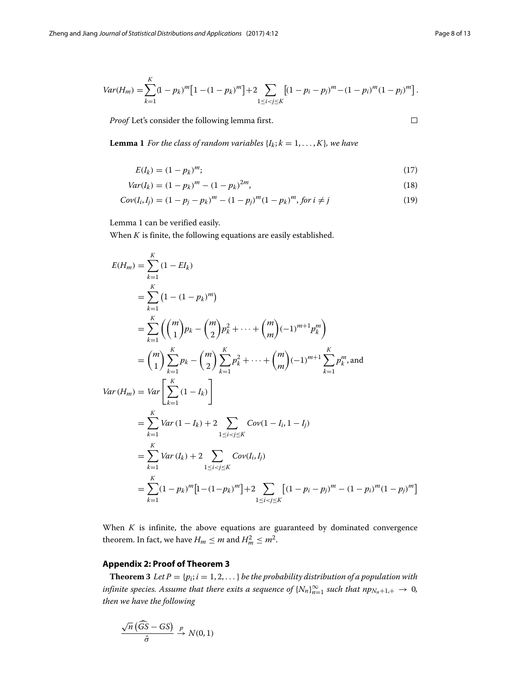$\Box$ 

$$
Var(H_m) = \sum_{k=1}^{K} (1 - p_k)^m [1 - (1 - p_k)^m] + 2 \sum_{1 \le i < j \le K} [(1 - p_i - p_j)^m - (1 - p_i)^m (1 - p_j)^m].
$$

*Proof* Let's consider the following lemma first.

<span id="page-7-1"></span>**Lemma 1** *For the class of random variables*  $\{I_k; k = 1, \ldots, K\}$ *, we have* 

$$
E(I_k) = (1 - p_k)^m; \t\t(17)
$$

$$
Var(I_k) = (1 - p_k)^m - (1 - p_k)^{2m},
$$
\n(18)

$$
Cov(I_i, I_j) = (1 - p_j - p_k)^m - (1 - p_j)^m (1 - p_k)^m, \text{ for } i \neq j
$$
\n(19)

Lemma [1](#page-7-1) can be verified easily.

When  $K$  is finite, the following equations are easily established.

$$
E(H_m) = \sum_{k=1}^{K} (1 - EI_k)
$$
  
\n
$$
= \sum_{k=1}^{K} (1 - (1 - p_k)^m)
$$
  
\n
$$
= \sum_{k=1}^{K} \left( {m \choose 1} p_k - {m \choose 2} p_k^2 + \dots + {m \choose m} (-1)^{m+1} p_k^m \right)
$$
  
\n
$$
= {m \choose 1} \sum_{k=1}^{K} p_k - {m \choose 2} \sum_{k=1}^{K} p_k^2 + \dots + {m \choose m} (-1)^{m+1} \sum_{k=1}^{K} p_k^m, \text{and}
$$
  
\n
$$
Var(H_m) = Var \left[ \sum_{k=1}^{K} (1 - I_k) \right]
$$
  
\n
$$
= \sum_{k=1}^{K} Var(1 - I_k) + 2 \sum_{1 \le i < j \le K} Cov(1 - I_k, 1 - I_j)
$$
  
\n
$$
= \sum_{k=1}^{K} Var(I_k) + 2 \sum_{1 \le i < j \le K} Cov(I_k, I_j)
$$
  
\n
$$
= \sum_{k=1}^{K} (1 - p_k)^m [1 - (1 - p_k)^m] + 2 \sum_{1 \le i < j \le K} [(1 - p_i - p_j)^m - (1 - p_i)^m (1 - p_j)^m]
$$

When  $K$  is infinite, the above equations are guaranteed by dominated convergence theorem. In fact, we have  $H_m \le m$  and  $H_m^2 \le m^2$ .

#### **Appendix 2: Proof of Theorem [3](#page-3-4)**

<span id="page-7-0"></span>**Theorem 3** *Let*  $P = \{p_i; i = 1, 2, \ldots\}$  *be the probability distribution of a population with infinite species. Assume that there exits a sequence of*  $\{N_n\}_{n=1}^{\infty}$  *such that*  $np_{N_n+1,+} \to 0$ *, then we have the following*

$$
\frac{\sqrt{n}(\widehat{GS} - GS)}{\widehat{\sigma}} \stackrel{p}{\to} N(0, 1)
$$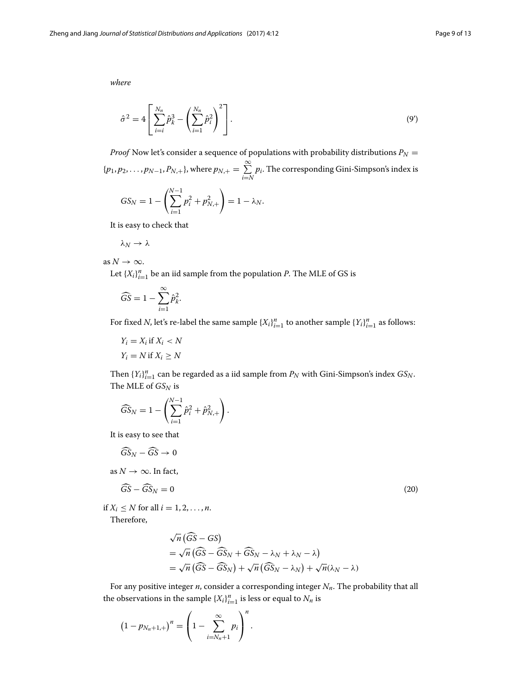*where*

$$
\hat{\sigma}^2 = 4 \left[ \sum_{i=i}^{N_n} \hat{p}_k^3 - \left( \sum_{i=1}^{N_n} \hat{p}_i^2 \right)^2 \right].
$$
 (9')

*Proof* Now let's consider a sequence of populations with probability distributions  $P_N =$  $\{p_1, p_2, \ldots, p_{N-1}, P_{N,+}\},\text{where } p_{N,+} = \sum_{i=1}^{\infty}$ *i*=*N pi*. The corresponding Gini-Simpson's index is

$$
GS_N = 1 - \left(\sum_{i=1}^{N-1} p_i^2 + p_{N,+}^2\right) = 1 - \lambda_N.
$$

It is easy to check that

$$
\lambda_N\to\lambda
$$

as  $N \to \infty$ .

Let  $\{X_i\}_{i=1}^n$  be an iid sample from the population *P*. The MLE of GS is

$$
\widehat{GS} = 1 - \sum_{i=1}^{\infty} \widehat{p}_{k}^{2}.
$$

For fixed *N*, let's re-label the same sample  $\{X_i\}_{i=1}^n$  to another sample  $\{Y_i\}_{i=1}^n$  as follows:

$$
Y_i = X_i \text{ if } X_i < N
$$
\n
$$
Y_i = N \text{ if } X_i \geq N
$$

Then  ${Y_i}_{i=1}^n$  can be regarded as a iid sample from  $P_N$  with Gini-Simpson's index  $GS_N$ . The MLE of  $GS_N$  is

$$
\widehat{GS}_N = 1 - \left( \sum_{i=1}^{N-1} \hat{p}_i^2 + \hat{p}_{N,+}^2 \right).
$$

It is easy to see that

<span id="page-8-0"></span>
$$
\widehat{GS}_N - \widehat{GS} \to 0
$$

as  $N \to \infty$ . In fact,

$$
\widehat{G}\widehat{S} - \widehat{G}\widehat{S}_N = 0 \tag{20}
$$

if  $X_i \leq N$  for all  $i = 1, 2, \ldots, n$ .

Therefore,

$$
\sqrt{n}(\widehat{GS} - GS)
$$
  
=  $\sqrt{n}(\widehat{GS} - \widehat{GS}_N + \widehat{GS}_N - \lambda_N + \lambda_N - \lambda)$   
=  $\sqrt{n}(\widehat{GS} - \widehat{GS}_N) + \sqrt{n}(\widehat{GS}_N - \lambda_N) + \sqrt{n}(\lambda_N - \lambda)$ 

For any positive integer  $n$ , consider a corresponding integer  $N_n$ . The probability that all the observations in the sample  $\{X_i\}_{i=1}^n$  is less or equal to  $N_n$  is

$$
(1 - p_{N_n+1,+})^n = \left(1 - \sum_{i=N_n+1}^{\infty} p_i\right)^n.
$$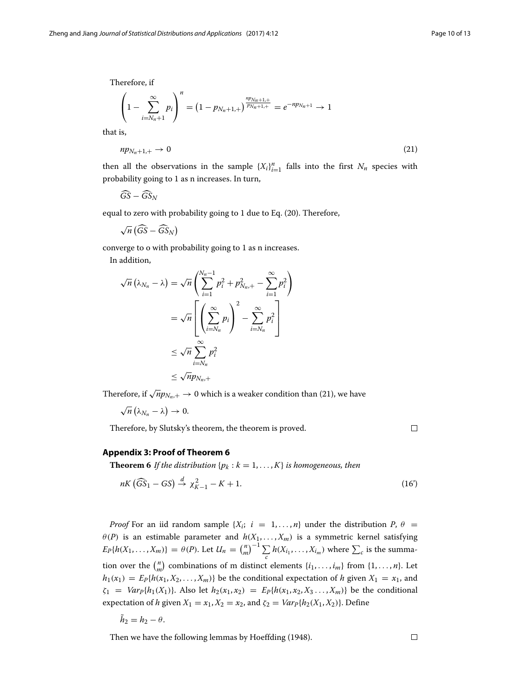Therefore, if

$$
\left(1 - \sum_{i=N_n+1}^{\infty} p_i\right)^n = \left(1 - p_{N_n+1,+}\right)^{\frac{np_{N_n+1,+}}{p_{N_n+1,+}}} = e^{-np_{N_n+1}} \to 1
$$

that is,

<span id="page-9-0"></span>
$$
np_{N_n+1,+} \to 0 \tag{21}
$$

then all the observations in the sample  ${X_i}_{i=1}^n$  falls into the first  $N_n$  species with probability going to 1 as n increases. In turn,

$$
\widehat{GS}-\widehat{GS}_N
$$

equal to zero with probability going to 1 due to Eq. [\(20\)](#page-8-0). Therefore,

$$
\sqrt{n}\left(\widehat{GS}-\widehat{GS}_N\right)
$$

converge to o with probability going to 1 as n increases. In addition,

$$
\sqrt{n} (\lambda_{N_n} - \lambda) = \sqrt{n} \left( \sum_{i=1}^{N_n - 1} p_i^2 + p_{N_n, +}^2 - \sum_{i=1}^{\infty} p_i^2 \right)
$$
  
= 
$$
\sqrt{n} \left[ \left( \sum_{i=N_n}^{\infty} p_i \right)^2 - \sum_{i=N_n}^{\infty} p_i^2 \right]
$$
  

$$
\leq \sqrt{n} \sum_{i=N_n}^{\infty} p_i^2
$$
  

$$
\leq \sqrt{n} p_{N_n,+}
$$

Therefore, if  $\sqrt{n}p_{N_n,+} \to 0$  which is a weaker condition than [\(21\)](#page-9-0), we have

$$
\sqrt{n}\left(\lambda_{N_n}-\lambda\right)\to 0.
$$

Therefore, by Slutsky's theorem, the theorem is proved.

 $\Box$ 

#### **Appendix 3: Proof of Theorem [6](#page-5-1)**

**Theorem 6** *If the distribution*  $\{p_k : k = 1, \ldots, K\}$  *is homogeneous, then* 

$$
nK\left(\widehat{GS}_1 - GS\right) \stackrel{d}{\rightarrow} \chi^2_{K-1} - K + 1. \tag{16'}
$$

*Proof* For an iid random sample  $\{X_i; i = 1, \ldots, n\}$  under the distribution  $P, \theta =$  $\theta(P)$  is an estimable parameter and  $h(X_1, \ldots, X_m)$  is a symmetric kernel satisfying  $E_P\{h(X_1, \ldots, X_m)\} = \theta(P)$ . Let  $U_n = {n \choose m}^{-1} \sum_{i=1}^m$  $\sum_{c} h(X_{i_1}, \ldots, X_{i_m})$  where  $\sum_{c}$  is the summation over the  $\binom{n}{m}$  combinations of m distinct elements  $\{i_1, \ldots, i_m\}$  from  $\{1, \ldots, n\}$ . Let  $h_1(x_1) = E_P\{h(x_1, X_2, \dots, X_m)\}\$ be the conditional expectation of *h* given  $X_1 = x_1$ , and  $\zeta_1 = Var_P\{h_1(X_1)\}.$  Also let  $h_2(x_1, x_2) = E_P\{h(x_1, x_2, X_3, \ldots, X_m)\}\)$  be the conditional expectation of *h* given  $X_1 = x_1, X_2 = x_2$ , and  $\zeta_2 = Var_P\{h_2(X_1, X_2)\}\)$ . Define

$$
h_2=h_2-\theta.
$$

Then we have the following lemmas by Hoeffding [\(1948\)](#page-12-24).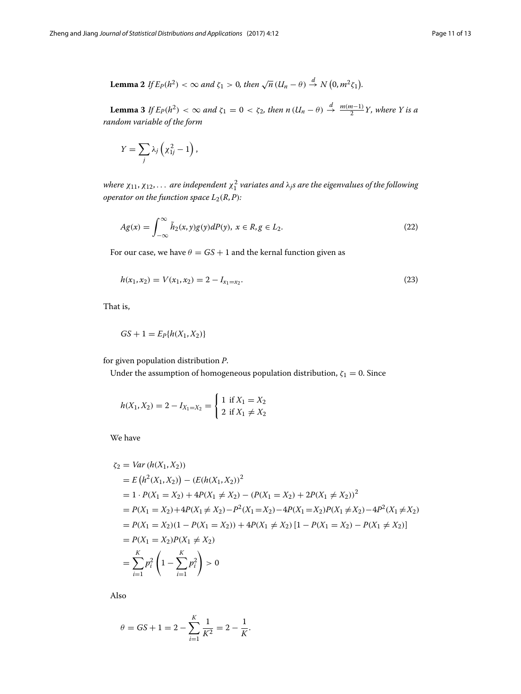**Lemma 2** If 
$$
E_P(h^2) < \infty
$$
 and  $\zeta_1 > 0$ , then  $\sqrt{n} (U_n - \theta) \stackrel{d}{\rightarrow} N (0, m^2 \zeta_1)$ .

<span id="page-10-0"></span>**Lemma 3** *If*  $E_P(h^2) < \infty$  *and*  $\zeta_1 = 0 < \zeta_2$ , then  $n (U_n - \theta) \stackrel{d}{\rightarrow} \frac{m(m-1)}{2} Y$ , where Y is a *random variable of the form*

$$
Y=\sum_j \lambda_j \left(\chi^2_{1j}-1\right),\,
$$

where  $\chi_{11}, \chi_{12}, \ldots$  are independent  $\chi_1^2$  variates and  $\lambda_j$ s are the eigenvalues of the following *operator on the function space*  $L_2(R, P)$ *:* 

$$
Ag(x) = \int_{-\infty}^{\infty} \tilde{h}_2(x, y)g(y) dP(y), \ x \in R, g \in L_2.
$$
 (22)

For our case, we have  $\theta = GS + 1$  and the kernal function given as

$$
h(x_1, x_2) = V(x_1, x_2) = 2 - I_{x_1 = x_2}.
$$
\n(23)

That is,

$$
GS + 1 = E_P\{h(X_1, X_2)\}
$$

for given population distribution *P*.

Under the assumption of homogeneous population distribution,  $\zeta_1 = 0$ . Since

$$
h(X_1, X_2) = 2 - I_{X_1 = X_2} = \begin{cases} 1 & \text{if } X_1 = X_2 \\ 2 & \text{if } X_1 \neq X_2 \end{cases}
$$

We have

$$
\zeta_2 = Var(h(X_1, X_2))
$$
  
=  $E(h^2(X_1, X_2)) - (E(h(X_1, X_2))^2$   
=  $1 \cdot P(X_1 = X_2) + 4P(X_1 \neq X_2) - (P(X_1 = X_2) + 2P(X_1 \neq X_2))^2$   
=  $P(X_1 = X_2) + 4P(X_1 \neq X_2) - P^2(X_1 = X_2) - 4P(X_1 = X_2)P(X_1 \neq X_2) - 4P^2(X_1 \neq X_2)$   
=  $P(X_1 = X_2)(1 - P(X_1 = X_2)) + 4P(X_1 \neq X_2) [1 - P(X_1 = X_2) - P(X_1 \neq X_2)]$   
=  $P(X_1 = X_2)P(X_1 \neq X_2)$   
=  $\sum_{i=1}^K p_i^2 \left(1 - \sum_{i=1}^K p_i^2\right) > 0$ 

Also

$$
\theta = GS + 1 = 2 - \sum_{i=1}^{K} \frac{1}{K^2} = 2 - \frac{1}{K}.
$$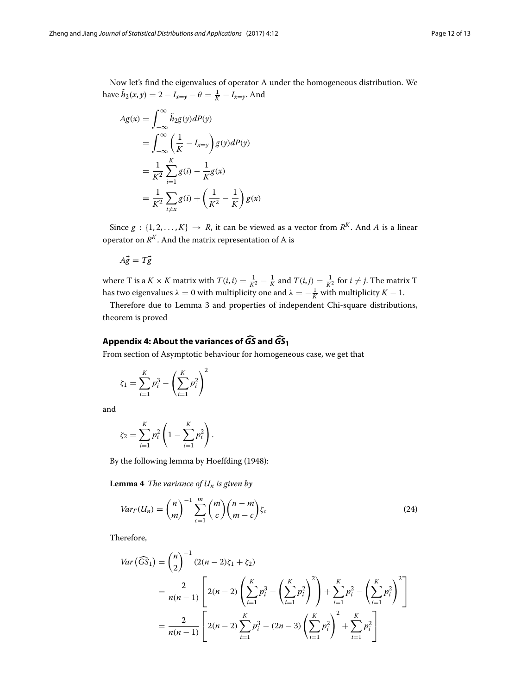Now let's find the eigenvalues of operator A under the homogeneous distribution. We have  $\tilde{h}_2(x, y) = 2 - I_{x=y} - \theta = \frac{1}{K} - I_{x=y}$ . And

$$
Ag(x) = \int_{-\infty}^{\infty} \tilde{h}_2 g(y) dP(y)
$$
  
= 
$$
\int_{-\infty}^{\infty} \left(\frac{1}{K} - I_{x=y}\right) g(y) dP(y)
$$
  
= 
$$
\frac{1}{K^2} \sum_{i=1}^{K} g(i) - \frac{1}{K} g(x)
$$
  
= 
$$
\frac{1}{K^2} \sum_{i \neq x} g(i) + \left(\frac{1}{K^2} - \frac{1}{K}\right) g(x)
$$

Since  $g : \{1, 2, ..., K\} \rightarrow R$ , it can be viewed as a vector from  $R^K$ . And A is a linear operator on  $R^K$ . And the matrix representation of A is

$$
A\vec{g} = T\vec{g}
$$

where T is a  $K \times K$  matrix with  $T(i, i) = \frac{1}{K^2} - \frac{1}{K}$  and  $T(i, j) = \frac{1}{K^2}$  for  $i \neq j$ . The matrix T has two eigenvalues  $\lambda = 0$  with multiplicity one and  $\lambda = -\frac{1}{K}$  with multiplicity  $K - 1$ .

Therefore due to Lemma [3](#page-10-0) and properties of independent Chi-square distributions, theorem is proved **Appendix 4: About the variances of** *GS***- and** *GS***-1**

From section of Asymptotic behaviour for homogeneous case, we get that

$$
\zeta_1 = \sum_{i=1}^K p_i^3 - \left(\sum_{i=1}^K p_i^2\right)^2
$$

and

$$
\zeta_2 = \sum_{i=1}^K p_i^2 \left( 1 - \sum_{i=1}^K p_i^2 \right).
$$

By the following lemma by Hoeffding [\(1948\)](#page-12-24):

**Lemma 4** *The variance of Un is given by*

$$
Var_F(U_n) = {n \choose m}^{-1} \sum_{c=1}^{m} {m \choose c} {n-m \choose m-c} \zeta_c
$$
 (24)

Therefore,

$$
Var\left(\widehat{GS}_1\right) = {n \choose 2}^{-1} (2(n-2)\zeta_1 + \zeta_2)
$$
  
= 
$$
\frac{2}{n(n-1)} \left[ 2(n-2) \left( \sum_{i=1}^{K} p_i^3 - \left( \sum_{i=1}^{K} p_i^2 \right)^2 \right) + \sum_{i=1}^{K} p_i^2 - \left( \sum_{i=1}^{K} p_i^2 \right)^2 \right]
$$
  
= 
$$
\frac{2}{n(n-1)} \left[ 2(n-2) \sum_{i=1}^{K} p_i^3 - (2n-3) \left( \sum_{i=1}^{K} p_i^2 \right)^2 + \sum_{i=1}^{K} p_i^2 \right]
$$